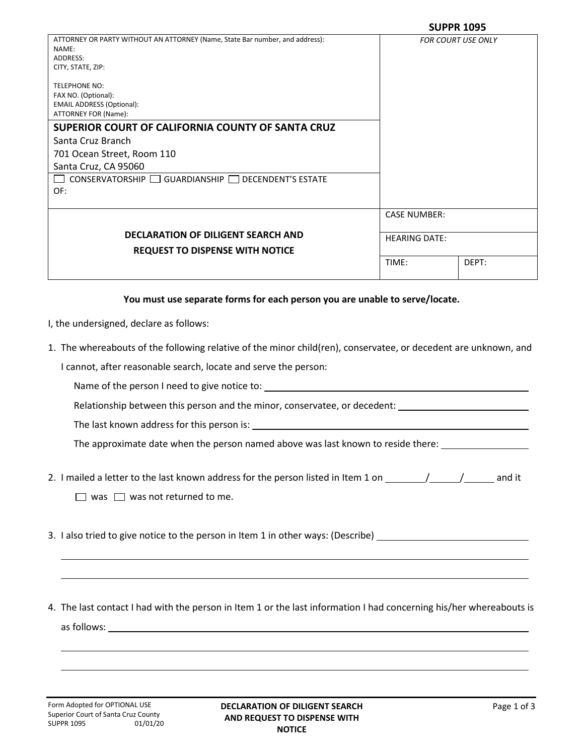| ATTORNEY OR PARTY WITHOUT AN ATTORNEY (Name, State Bar number, and address):<br>NAME:<br>ADDRESS:<br>CITY, STATE, ZIP: |                      | <b>FOR COURT USE ONLY</b> |
|------------------------------------------------------------------------------------------------------------------------|----------------------|---------------------------|
| <b>TELEPHONE NO:</b><br>FAX NO. (Optional):<br><b>EMAIL ADDRESS (Optional):</b><br>ATTORNEY FOR (Name):                |                      |                           |
| SUPERIOR COURT OF CALIFORNIA COUNTY OF SANTA CRUZ                                                                      |                      |                           |
| Santa Cruz Branch                                                                                                      |                      |                           |
| 701 Ocean Street, Room 110                                                                                             |                      |                           |
| Santa Cruz, CA 95060                                                                                                   |                      |                           |
| $CONSERVATORSHIP$ GUARDIANSHIP $\Box$ DECENDENT'S ESTATE                                                               |                      |                           |
| OF:                                                                                                                    |                      |                           |
|                                                                                                                        |                      |                           |
|                                                                                                                        | <b>CASE NUMBER:</b>  |                           |
| <b>DECLARATION OF DILIGENT SEARCH AND</b>                                                                              | <b>HEARING DATE:</b> |                           |
| <b>REQUEST TO DISPENSE WITH NOTICE</b>                                                                                 |                      |                           |
|                                                                                                                        | TIME:                | DEPT:                     |
|                                                                                                                        |                      |                           |

## **You must use separate forms for each person you are unable to serve/locate.**

- I, the undersigned, declare as follows:
- 1. The whereabouts of the following relative of the minor child(ren), conservatee, or decedent are unknown, and

I cannot, after reasonable search, locate and serve the person:

Name of the person I need to give notice to:

Relationship between this person and the minor, conservatee, or decedent:

The last known address for this person is:

The approximate date when the person named above was last known to reside there: \_\_\_\_\_\_\_\_\_\_\_\_\_\_\_\_\_\_\_\_\_\_\_\_\_\_\_\_\_

2. I mailed a letter to the last known address for the person listed in Item 1 on  $\frac{1}{\sqrt{2}}$  /  $\frac{1}{\sqrt{2}}$  and it

 $\Box$  was  $\Box$  was not returned to me.

- 3. I also tried to give notice to the person in Item 1 in other ways: (Describe)
- 4. The last contact I had with the person in Item 1 or the last information I had concerning his/her whereabouts is as follows: <u>experience</u> and the set of the set of the set of the set of the set of the set of the set of the set of the set of the set of the set of the set of the set of the set of the set of the set of the set of the se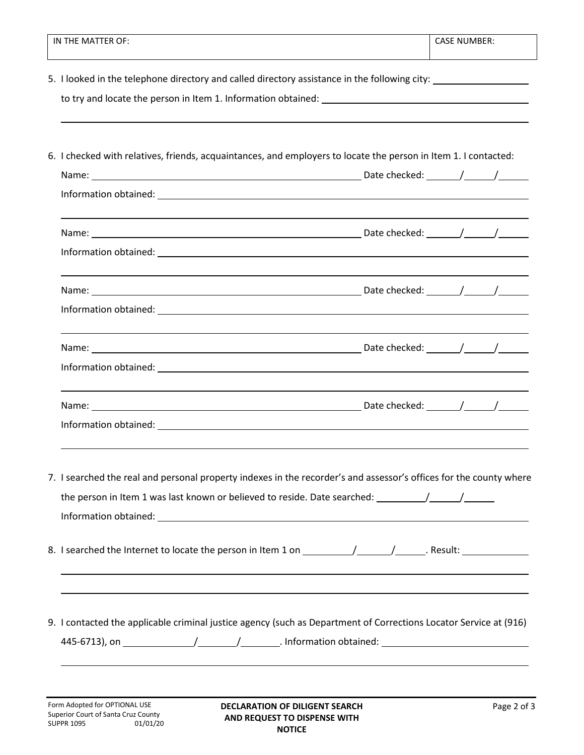| IN THE MATTER OF:                                                                                                  | <b>CASE NUMBER:</b>                                                              |  |
|--------------------------------------------------------------------------------------------------------------------|----------------------------------------------------------------------------------|--|
| 5. I looked in the telephone directory and called directory assistance in the following city: ________________     |                                                                                  |  |
|                                                                                                                    |                                                                                  |  |
| 6. I checked with relatives, friends, acquaintances, and employers to locate the person in Item 1. I contacted:    |                                                                                  |  |
|                                                                                                                    |                                                                                  |  |
|                                                                                                                    |                                                                                  |  |
|                                                                                                                    |                                                                                  |  |
|                                                                                                                    |                                                                                  |  |
|                                                                                                                    |                                                                                  |  |
|                                                                                                                    |                                                                                  |  |
|                                                                                                                    |                                                                                  |  |
|                                                                                                                    |                                                                                  |  |
|                                                                                                                    |                                                                                  |  |
|                                                                                                                    |                                                                                  |  |
|                                                                                                                    |                                                                                  |  |
| 7. I searched the real and personal property indexes in the recorder's and assessor's offices for the county where |                                                                                  |  |
|                                                                                                                    |                                                                                  |  |
|                                                                                                                    |                                                                                  |  |
|                                                                                                                    |                                                                                  |  |
|                                                                                                                    |                                                                                  |  |
| 9. I contacted the applicable criminal justice agency (such as Department of Corrections Locator Service at (916)  |                                                                                  |  |
|                                                                                                                    |                                                                                  |  |
|                                                                                                                    | ,我们也不会有什么。""我们的人,我们也不会有什么?""我们的人,我们也不会有什么?""我们的人,我们也不会有什么?""我们的人,我们也不会有什么?""我们的人 |  |